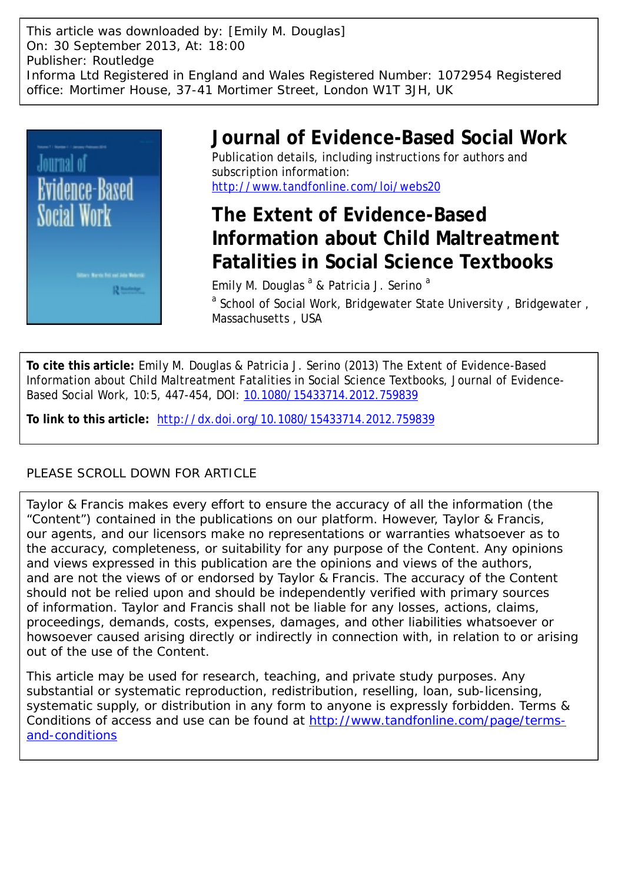This article was downloaded by: [Emily M. Douglas] On: 30 September 2013, At: 18:00 Publisher: Routledge Informa Ltd Registered in England and Wales Registered Number: 1072954 Registered office: Mortimer House, 37-41 Mortimer Street, London W1T 3JH, UK



# **Journal of Evidence-Based Social Work**

Publication details, including instructions for authors and subscription information: <http://www.tandfonline.com/loi/webs20>

# **The Extent of Evidence-Based Information about Child Maltreatment Fatalities in Social Science Textbooks**

Emily M. Douglas <sup>a</sup> & Patricia J. Serino <sup>a</sup> <sup>a</sup> School of Social Work, Bridgewater State University, Bridgewater, Massachusetts , USA

**To cite this article:** Emily M. Douglas & Patricia J. Serino (2013) The Extent of Evidence-Based Information about Child Maltreatment Fatalities in Social Science Textbooks, Journal of Evidence-Based Social Work, 10:5, 447-454, DOI: [10.1080/15433714.2012.759839](http://www.tandfonline.com/action/showCitFormats?doi=10.1080/15433714.2012.759839)

**To link to this article:** <http://dx.doi.org/10.1080/15433714.2012.759839>

### PLEASE SCROLL DOWN FOR ARTICLE

Taylor & Francis makes every effort to ensure the accuracy of all the information (the "Content") contained in the publications on our platform. However, Taylor & Francis, our agents, and our licensors make no representations or warranties whatsoever as to the accuracy, completeness, or suitability for any purpose of the Content. Any opinions and views expressed in this publication are the opinions and views of the authors, and are not the views of or endorsed by Taylor & Francis. The accuracy of the Content should not be relied upon and should be independently verified with primary sources of information. Taylor and Francis shall not be liable for any losses, actions, claims, proceedings, demands, costs, expenses, damages, and other liabilities whatsoever or howsoever caused arising directly or indirectly in connection with, in relation to or arising out of the use of the Content.

This article may be used for research, teaching, and private study purposes. Any substantial or systematic reproduction, redistribution, reselling, loan, sub-licensing, systematic supply, or distribution in any form to anyone is expressly forbidden. Terms & Conditions of access and use can be found at [http://www.tandfonline.com/page/terms](http://www.tandfonline.com/page/terms-and-conditions)[and-conditions](http://www.tandfonline.com/page/terms-and-conditions)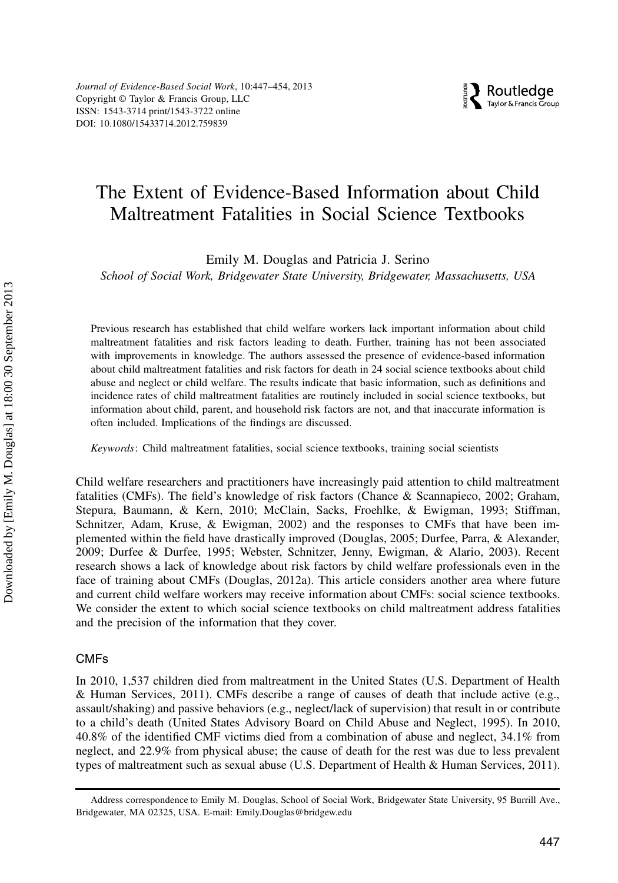Journal of Evidence-Based Social Work, 10:447–454, 2013 Copyright © Taylor & Francis Group, LLC ISSN: 1543-3714 print/1543-3722 online DOI: 10.1080/15433714.2012.759839

### The Extent of Evidence-Based Information about Child Maltreatment Fatalities in Social Science Textbooks

Emily M. Douglas and Patricia J. Serino

School of Social Work, Bridgewater State University, Bridgewater, Massachusetts, USA

Previous research has established that child welfare workers lack important information about child maltreatment fatalities and risk factors leading to death. Further, training has not been associated with improvements in knowledge. The authors assessed the presence of evidence-based information about child maltreatment fatalities and risk factors for death in 24 social science textbooks about child abuse and neglect or child welfare. The results indicate that basic information, such as definitions and incidence rates of child maltreatment fatalities are routinely included in social science textbooks, but information about child, parent, and household risk factors are not, and that inaccurate information is often included. Implications of the findings are discussed.

Keywords: Child maltreatment fatalities, social science textbooks, training social scientists

Child welfare researchers and practitioners have increasingly paid attention to child maltreatment fatalities (CMFs). The field's knowledge of risk factors (Chance & Scannapieco, 2002; Graham, Stepura, Baumann, & Kern, 2010; McClain, Sacks, Froehlke, & Ewigman, 1993; Stiffman, Schnitzer, Adam, Kruse, & Ewigman, 2002) and the responses to CMFs that have been implemented within the field have drastically improved (Douglas, 2005; Durfee, Parra, & Alexander, 2009; Durfee & Durfee, 1995; Webster, Schnitzer, Jenny, Ewigman, & Alario, 2003). Recent research shows a lack of knowledge about risk factors by child welfare professionals even in the face of training about CMFs (Douglas, 2012a). This article considers another area where future and current child welfare workers may receive information about CMFs: social science textbooks. We consider the extent to which social science textbooks on child maltreatment address fatalities and the precision of the information that they cover.

#### CMFs

In 2010, 1,537 children died from maltreatment in the United States (U.S. Department of Health & Human Services, 2011). CMFs describe a range of causes of death that include active (e.g., assault/shaking) and passive behaviors (e.g., neglect/lack of supervision) that result in or contribute to a child's death (United States Advisory Board on Child Abuse and Neglect, 1995). In 2010, 40.8% of the identified CMF victims died from a combination of abuse and neglect, 34.1% from neglect, and 22.9% from physical abuse; the cause of death for the rest was due to less prevalent types of maltreatment such as sexual abuse (U.S. Department of Health & Human Services, 2011).

Address correspondence to Emily M. Douglas, School of Social Work, Bridgewater State University, 95 Burrill Ave., Bridgewater, MA 02325, USA. E-mail: Emily.Douglas@bridgew.edu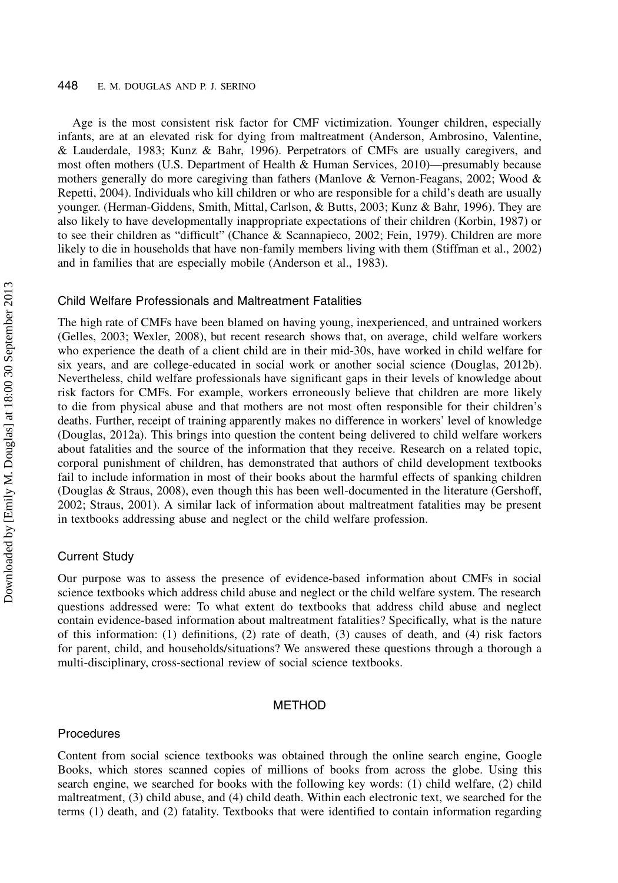#### 448 E. M. DOUGLAS AND P. J. SERINO

Age is the most consistent risk factor for CMF victimization. Younger children, especially infants, are at an elevated risk for dying from maltreatment (Anderson, Ambrosino, Valentine, & Lauderdale, 1983; Kunz & Bahr, 1996). Perpetrators of CMFs are usually caregivers, and most often mothers (U.S. Department of Health & Human Services, 2010)—presumably because mothers generally do more caregiving than fathers (Manlove & Vernon-Feagans, 2002; Wood & Repetti, 2004). Individuals who kill children or who are responsible for a child's death are usually younger. (Herman-Giddens, Smith, Mittal, Carlson, & Butts, 2003; Kunz & Bahr, 1996). They are also likely to have developmentally inappropriate expectations of their children (Korbin, 1987) or to see their children as "difficult" (Chance & Scannapieco, 2002; Fein, 1979). Children are more likely to die in households that have non-family members living with them (Stiffman et al., 2002) and in families that are especially mobile (Anderson et al., 1983).

#### Child Welfare Professionals and Maltreatment Fatalities

The high rate of CMFs have been blamed on having young, inexperienced, and untrained workers (Gelles, 2003; Wexler, 2008), but recent research shows that, on average, child welfare workers who experience the death of a client child are in their mid-30s, have worked in child welfare for six years, and are college-educated in social work or another social science (Douglas, 2012b). Nevertheless, child welfare professionals have significant gaps in their levels of knowledge about risk factors for CMFs. For example, workers erroneously believe that children are more likely to die from physical abuse and that mothers are not most often responsible for their children's deaths. Further, receipt of training apparently makes no difference in workers' level of knowledge (Douglas, 2012a). This brings into question the content being delivered to child welfare workers about fatalities and the source of the information that they receive. Research on a related topic, corporal punishment of children, has demonstrated that authors of child development textbooks fail to include information in most of their books about the harmful effects of spanking children (Douglas & Straus, 2008), even though this has been well-documented in the literature (Gershoff, 2002; Straus, 2001). A similar lack of information about maltreatment fatalities may be present in textbooks addressing abuse and neglect or the child welfare profession.

#### Current Study

Our purpose was to assess the presence of evidence-based information about CMFs in social science textbooks which address child abuse and neglect or the child welfare system. The research questions addressed were: To what extent do textbooks that address child abuse and neglect contain evidence-based information about maltreatment fatalities? Specifically, what is the nature of this information: (1) definitions, (2) rate of death, (3) causes of death, and (4) risk factors for parent, child, and households/situations? We answered these questions through a thorough a multi-disciplinary, cross-sectional review of social science textbooks.

#### METHOD

#### Procedures

Content from social science textbooks was obtained through the online search engine, Google Books, which stores scanned copies of millions of books from across the globe. Using this search engine, we searched for books with the following key words: (1) child welfare, (2) child maltreatment, (3) child abuse, and (4) child death. Within each electronic text, we searched for the terms (1) death, and (2) fatality. Textbooks that were identified to contain information regarding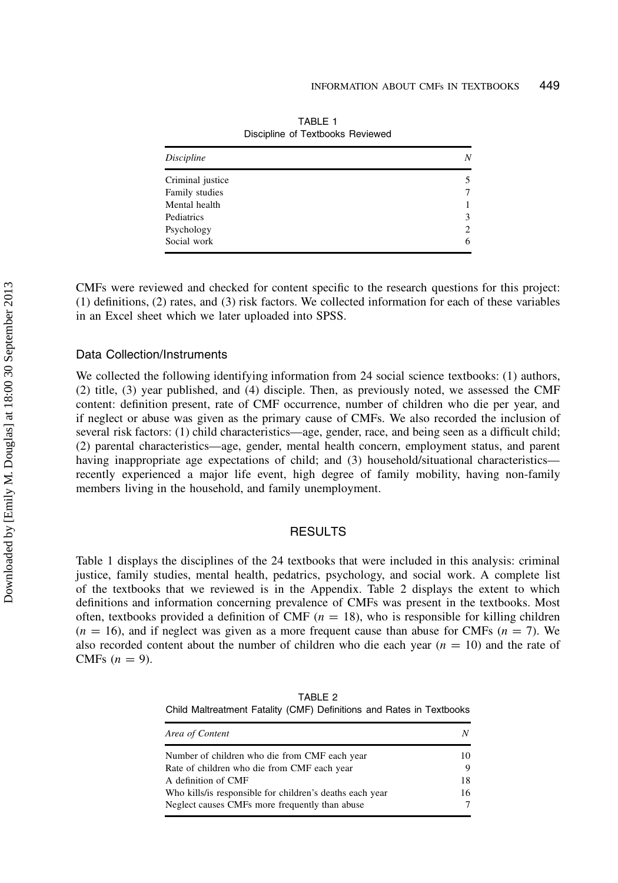| N |
|---|
|   |
|   |
|   |
| 3 |
| 2 |
| 6 |
|   |

TABLE 1 Discipline of Textbooks Reviewed

CMFs were reviewed and checked for content specific to the research questions for this project: (1) definitions, (2) rates, and (3) risk factors. We collected information for each of these variables in an Excel sheet which we later uploaded into SPSS.

#### Data Collection/Instruments

We collected the following identifying information from 24 social science textbooks: (1) authors, (2) title, (3) year published, and (4) disciple. Then, as previously noted, we assessed the CMF content: definition present, rate of CMF occurrence, number of children who die per year, and if neglect or abuse was given as the primary cause of CMFs. We also recorded the inclusion of several risk factors: (1) child characteristics—age, gender, race, and being seen as a difficult child; (2) parental characteristics—age, gender, mental health concern, employment status, and parent having inappropriate age expectations of child; and (3) household/situational characteristics recently experienced a major life event, high degree of family mobility, having non-family members living in the household, and family unemployment.

#### RESULTS

Table 1 displays the disciplines of the 24 textbooks that were included in this analysis: criminal justice, family studies, mental health, pedatrics, psychology, and social work. A complete list of the textbooks that we reviewed is in the Appendix. Table 2 displays the extent to which definitions and information concerning prevalence of CMFs was present in the textbooks. Most often, textbooks provided a definition of CMF  $(n = 18)$ , who is responsible for killing children  $(n = 16)$ , and if neglect was given as a more frequent cause than abuse for CMFs  $(n = 7)$ . We also recorded content about the number of children who die each year  $(n = 10)$  and the rate of CMFs  $(n = 9)$ .

TABLE 2 Child Maltreatment Fatality (CMF) Definitions and Rates in Textbooks

| Area of Content                                          | N  |
|----------------------------------------------------------|----|
| Number of children who die from CMF each year            | 10 |
| Rate of children who die from CMF each year              | 9  |
| A definition of CMF                                      | 18 |
| Who kills/is responsible for children's deaths each year | 16 |
| Neglect causes CMFs more frequently than abuse           | 7  |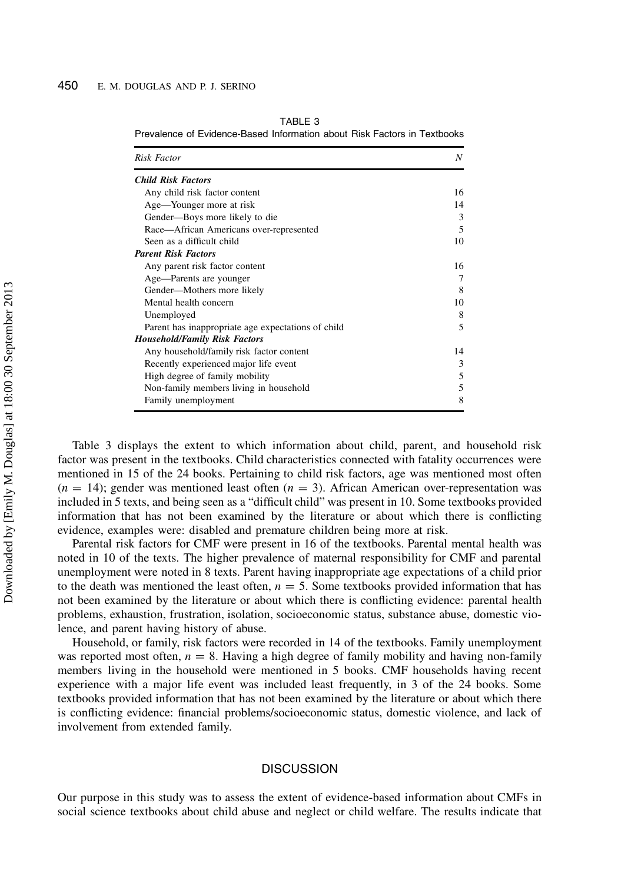| <b>Risk Factor</b>                                 | N  |  |
|----------------------------------------------------|----|--|
| <b>Child Risk Factors</b>                          |    |  |
| Any child risk factor content                      | 16 |  |
| Age—Younger more at risk                           | 14 |  |
| Gender-Boys more likely to die                     | 3  |  |
| Race—African Americans over-represented            | 5  |  |
| Seen as a difficult child                          | 10 |  |
| <b>Parent Risk Factors</b>                         |    |  |
| Any parent risk factor content                     | 16 |  |
| Age-Parents are younger                            | 7  |  |
| Gender-Mothers more likely                         | 8  |  |
| Mental health concern                              | 10 |  |
| Unemployed                                         | 8  |  |
| Parent has inappropriate age expectations of child | 5  |  |
| <b>Household/Family Risk Factors</b>               |    |  |
| Any household/family risk factor content           | 14 |  |
| Recently experienced major life event              | 3  |  |
| High degree of family mobility                     | 5  |  |
| Non-family members living in household             | 5  |  |
| Family unemployment                                | 8  |  |

TABLE 3

Prevalence of Evidence-Based Information about Risk Factors in Textbooks

Table 3 displays the extent to which information about child, parent, and household risk factor was present in the textbooks. Child characteristics connected with fatality occurrences were mentioned in 15 of the 24 books. Pertaining to child risk factors, age was mentioned most often  $(n = 14)$ ; gender was mentioned least often  $(n = 3)$ . African American over-representation was included in 5 texts, and being seen as a "difficult child" was present in 10. Some textbooks provided information that has not been examined by the literature or about which there is conflicting evidence, examples were: disabled and premature children being more at risk.

Parental risk factors for CMF were present in 16 of the textbooks. Parental mental health was noted in 10 of the texts. The higher prevalence of maternal responsibility for CMF and parental unemployment were noted in 8 texts. Parent having inappropriate age expectations of a child prior to the death was mentioned the least often,  $n = 5$ . Some textbooks provided information that has not been examined by the literature or about which there is conflicting evidence: parental health problems, exhaustion, frustration, isolation, socioeconomic status, substance abuse, domestic violence, and parent having history of abuse.

Household, or family, risk factors were recorded in 14 of the textbooks. Family unemployment was reported most often,  $n = 8$ . Having a high degree of family mobility and having non-family members living in the household were mentioned in 5 books. CMF households having recent experience with a major life event was included least frequently, in 3 of the 24 books. Some textbooks provided information that has not been examined by the literature or about which there is conflicting evidence: financial problems/socioeconomic status, domestic violence, and lack of involvement from extended family.

#### **DISCUSSION**

Our purpose in this study was to assess the extent of evidence-based information about CMFs in social science textbooks about child abuse and neglect or child welfare. The results indicate that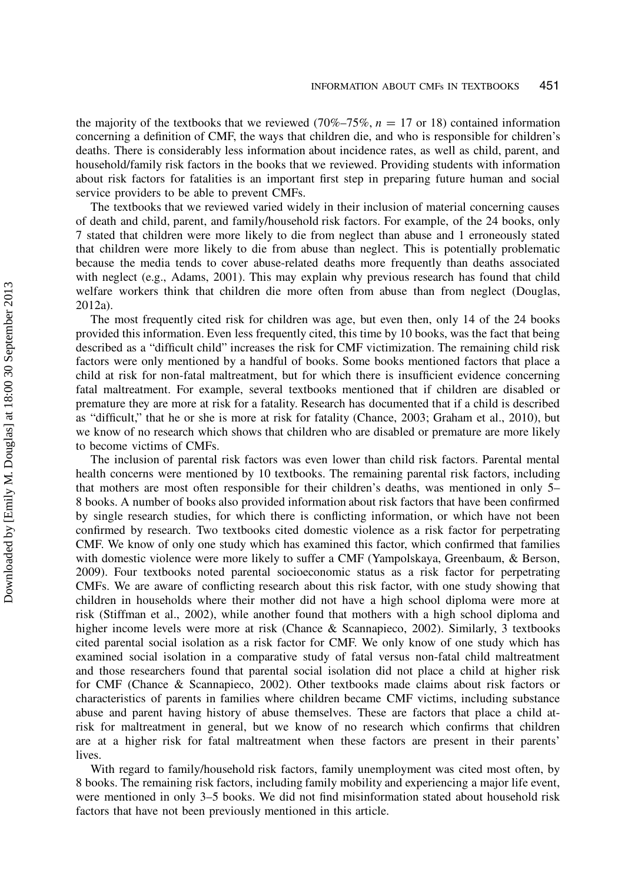the majority of the textbooks that we reviewed (70%–75%,  $n = 17$  or 18) contained information concerning a definition of CMF, the ways that children die, and who is responsible for children's deaths. There is considerably less information about incidence rates, as well as child, parent, and household/family risk factors in the books that we reviewed. Providing students with information about risk factors for fatalities is an important first step in preparing future human and social service providers to be able to prevent CMFs.

The textbooks that we reviewed varied widely in their inclusion of material concerning causes of death and child, parent, and family/household risk factors. For example, of the 24 books, only 7 stated that children were more likely to die from neglect than abuse and 1 erroneously stated that children were more likely to die from abuse than neglect. This is potentially problematic because the media tends to cover abuse-related deaths more frequently than deaths associated with neglect (e.g., Adams, 2001). This may explain why previous research has found that child welfare workers think that children die more often from abuse than from neglect (Douglas, 2012a).

The most frequently cited risk for children was age, but even then, only 14 of the 24 books provided this information. Even less frequently cited, this time by 10 books, was the fact that being described as a "difficult child" increases the risk for CMF victimization. The remaining child risk factors were only mentioned by a handful of books. Some books mentioned factors that place a child at risk for non-fatal maltreatment, but for which there is insufficient evidence concerning fatal maltreatment. For example, several textbooks mentioned that if children are disabled or premature they are more at risk for a fatality. Research has documented that if a child is described as "difficult," that he or she is more at risk for fatality (Chance, 2003; Graham et al., 2010), but we know of no research which shows that children who are disabled or premature are more likely to become victims of CMFs.

The inclusion of parental risk factors was even lower than child risk factors. Parental mental health concerns were mentioned by 10 textbooks. The remaining parental risk factors, including that mothers are most often responsible for their children's deaths, was mentioned in only 5– 8 books. A number of books also provided information about risk factors that have been confirmed by single research studies, for which there is conflicting information, or which have not been confirmed by research. Two textbooks cited domestic violence as a risk factor for perpetrating CMF. We know of only one study which has examined this factor, which confirmed that families with domestic violence were more likely to suffer a CMF (Yampolskaya, Greenbaum, & Berson, 2009). Four textbooks noted parental socioeconomic status as a risk factor for perpetrating CMFs. We are aware of conflicting research about this risk factor, with one study showing that children in households where their mother did not have a high school diploma were more at risk (Stiffman et al., 2002), while another found that mothers with a high school diploma and higher income levels were more at risk (Chance & Scannapieco, 2002). Similarly, 3 textbooks cited parental social isolation as a risk factor for CMF. We only know of one study which has examined social isolation in a comparative study of fatal versus non-fatal child maltreatment and those researchers found that parental social isolation did not place a child at higher risk for CMF (Chance & Scannapieco, 2002). Other textbooks made claims about risk factors or characteristics of parents in families where children became CMF victims, including substance abuse and parent having history of abuse themselves. These are factors that place a child atrisk for maltreatment in general, but we know of no research which confirms that children are at a higher risk for fatal maltreatment when these factors are present in their parents' lives.

With regard to family/household risk factors, family unemployment was cited most often, by 8 books. The remaining risk factors, including family mobility and experiencing a major life event, were mentioned in only 3–5 books. We did not find misinformation stated about household risk factors that have not been previously mentioned in this article.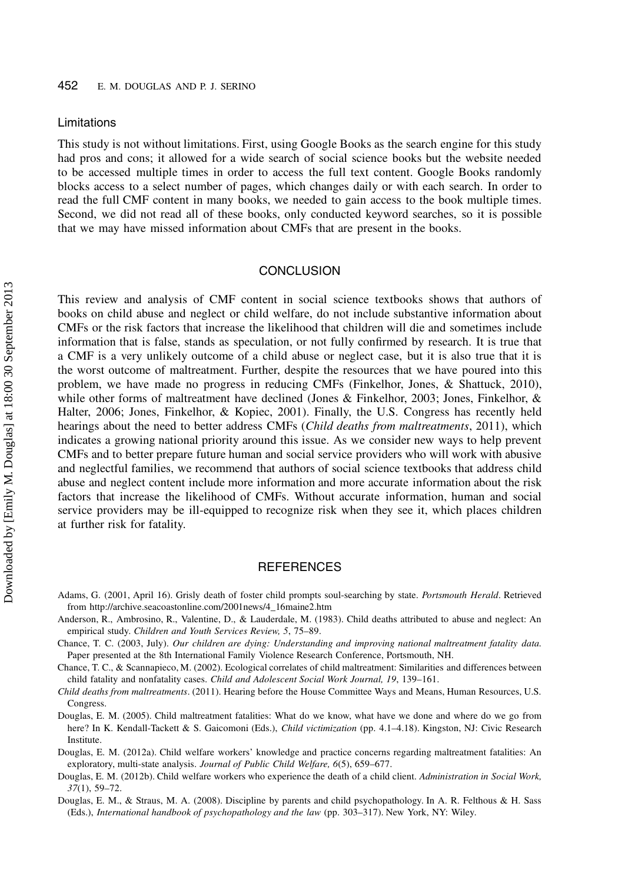#### Limitations

This study is not without limitations. First, using Google Books as the search engine for this study had pros and cons; it allowed for a wide search of social science books but the website needed to be accessed multiple times in order to access the full text content. Google Books randomly blocks access to a select number of pages, which changes daily or with each search. In order to read the full CMF content in many books, we needed to gain access to the book multiple times. Second, we did not read all of these books, only conducted keyword searches, so it is possible that we may have missed information about CMFs that are present in the books.

#### **CONCLUSION**

This review and analysis of CMF content in social science textbooks shows that authors of books on child abuse and neglect or child welfare, do not include substantive information about CMFs or the risk factors that increase the likelihood that children will die and sometimes include information that is false, stands as speculation, or not fully confirmed by research. It is true that a CMF is a very unlikely outcome of a child abuse or neglect case, but it is also true that it is the worst outcome of maltreatment. Further, despite the resources that we have poured into this problem, we have made no progress in reducing CMFs (Finkelhor, Jones, & Shattuck, 2010), while other forms of maltreatment have declined (Jones & Finkelhor, 2003; Jones, Finkelhor, & Halter, 2006; Jones, Finkelhor, & Kopiec, 2001). Finally, the U.S. Congress has recently held hearings about the need to better address CMFs (Child deaths from maltreatments, 2011), which indicates a growing national priority around this issue. As we consider new ways to help prevent CMFs and to better prepare future human and social service providers who will work with abusive and neglectful families, we recommend that authors of social science textbooks that address child abuse and neglect content include more information and more accurate information about the risk factors that increase the likelihood of CMFs. Without accurate information, human and social service providers may be ill-equipped to recognize risk when they see it, which places children at further risk for fatality.

#### **REFERENCES**

- Adams, G. (2001, April 16). Grisly death of foster child prompts soul-searching by state. Portsmouth Herald. Retrieved from http://archive.seacoastonline.com/2001news/4\_16maine2.htm
- Anderson, R., Ambrosino, R., Valentine, D., & Lauderdale, M. (1983). Child deaths attributed to abuse and neglect: An empirical study. Children and Youth Services Review, 5, 75–89.
- Chance, T. C. (2003, July). Our children are dying: Understanding and improving national maltreatment fatality data. Paper presented at the 8th International Family Violence Research Conference, Portsmouth, NH.

Chance, T. C., & Scannapieco, M. (2002). Ecological correlates of child maltreatment: Similarities and differences between child fatality and nonfatality cases. Child and Adolescent Social Work Journal, 19, 139–161.

Douglas, E. M. (2005). Child maltreatment fatalities: What do we know, what have we done and where do we go from here? In K. Kendall-Tackett & S. Gaicomoni (Eds.), *Child victimization* (pp. 4.1–4.18). Kingston, NJ: Civic Research Institute.

Douglas, E. M. (2012a). Child welfare workers' knowledge and practice concerns regarding maltreatment fatalities: An exploratory, multi-state analysis. Journal of Public Child Welfare, 6(5), 659–677.

- Douglas, E. M. (2012b). Child welfare workers who experience the death of a child client. Administration in Social Work, 37(1), 59–72.
- Douglas, E. M., & Straus, M. A. (2008). Discipline by parents and child psychopathology. In A. R. Felthous & H. Sass (Eds.), International handbook of psychopathology and the law (pp. 303–317). New York, NY: Wiley.

Child deaths from maltreatments. (2011). Hearing before the House Committee Ways and Means, Human Resources, U.S. Congress.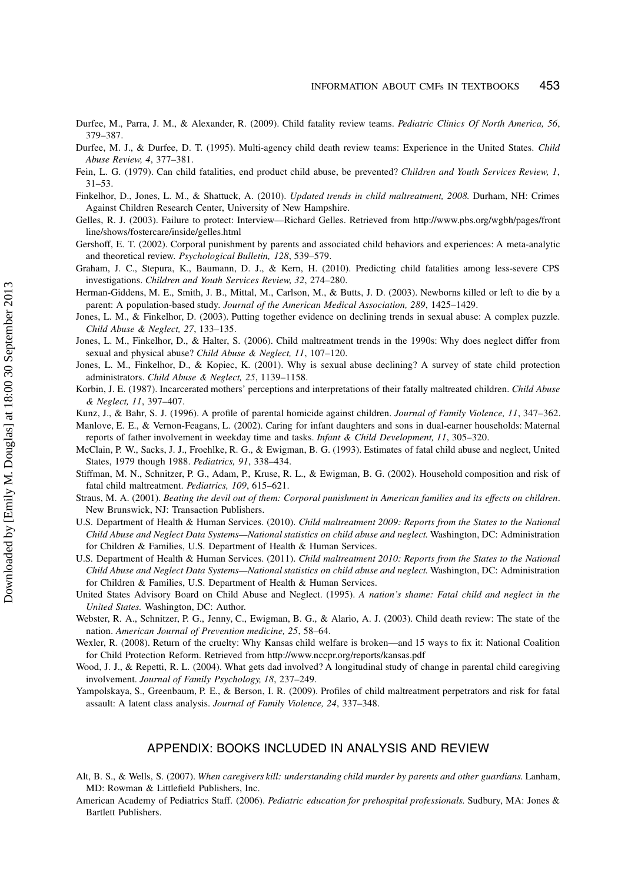- Durfee, M., Parra, J. M., & Alexander, R. (2009). Child fatality review teams. Pediatric Clinics Of North America, 56, 379–387.
- Durfee, M. J., & Durfee, D. T. (1995). Multi-agency child death review teams: Experience in the United States. Child Abuse Review, 4, 377–381.
- Fein, L. G. (1979). Can child fatalities, end product child abuse, be prevented? Children and Youth Services Review, 1, 31–53.
- Finkelhor, D., Jones, L. M., & Shattuck, A. (2010). Updated trends in child maltreatment, 2008. Durham, NH: Crimes Against Children Research Center, University of New Hampshire.
- Gelles, R. J. (2003). Failure to protect: Interview—Richard Gelles. Retrieved from http://www.pbs.org/wgbh/pages/front line/shows/fostercare/inside/gelles.html
- Gershoff, E. T. (2002). Corporal punishment by parents and associated child behaviors and experiences: A meta-analytic and theoretical review. Psychological Bulletin, 128, 539–579.
- Graham, J. C., Stepura, K., Baumann, D. J., & Kern, H. (2010). Predicting child fatalities among less-severe CPS investigations. Children and Youth Services Review, 32, 274–280.
- Herman-Giddens, M. E., Smith, J. B., Mittal, M., Carlson, M., & Butts, J. D. (2003). Newborns killed or left to die by a parent: A population-based study. Journal of the American Medical Association, 289, 1425–1429.
- Jones, L. M., & Finkelhor, D. (2003). Putting together evidence on declining trends in sexual abuse: A complex puzzle. Child Abuse & Neglect, 27, 133–135.
- Jones, L. M., Finkelhor, D., & Halter, S. (2006). Child maltreatment trends in the 1990s: Why does neglect differ from sexual and physical abuse? Child Abuse & Neglect, 11, 107–120.
- Jones, L. M., Finkelhor, D., & Kopiec, K. (2001). Why is sexual abuse declining? A survey of state child protection administrators. Child Abuse & Neglect, 25, 1139–1158.
- Korbin, J. E. (1987). Incarcerated mothers' perceptions and interpretations of their fatally maltreated children. Child Abuse & Neglect, 11, 397–407.
- Kunz, J., & Bahr, S. J. (1996). A profile of parental homicide against children. Journal of Family Violence, 11, 347-362.

Manlove, E. E., & Vernon-Feagans, L. (2002). Caring for infant daughters and sons in dual-earner households: Maternal reports of father involvement in weekday time and tasks. Infant & Child Development, 11, 305–320.

- McClain, P. W., Sacks, J. J., Froehlke, R. G., & Ewigman, B. G. (1993). Estimates of fatal child abuse and neglect, United States, 1979 though 1988. Pediatrics, 91, 338–434.
- Stiffman, M. N., Schnitzer, P. G., Adam, P., Kruse, R. L., & Ewigman, B. G. (2002). Household composition and risk of fatal child maltreatment. Pediatrics, 109, 615–621.
- Straus, M. A. (2001). Beating the devil out of them: Corporal punishment in American families and its effects on children. New Brunswick, NJ: Transaction Publishers.
- U.S. Department of Health & Human Services. (2010). Child maltreatment 2009: Reports from the States to the National Child Abuse and Neglect Data Systems—National statistics on child abuse and neglect. Washington, DC: Administration for Children & Families, U.S. Department of Health & Human Services.
- U.S. Department of Health & Human Services. (2011). Child maltreatment 2010: Reports from the States to the National Child Abuse and Neglect Data Systems—National statistics on child abuse and neglect. Washington, DC: Administration for Children & Families, U.S. Department of Health & Human Services.
- United States Advisory Board on Child Abuse and Neglect. (1995). A nation's shame: Fatal child and neglect in the United States. Washington, DC: Author.
- Webster, R. A., Schnitzer, P. G., Jenny, C., Ewigman, B. G., & Alario, A. J. (2003). Child death review: The state of the nation. American Journal of Prevention medicine, 25, 58–64.
- Wexler, R. (2008). Return of the cruelty: Why Kansas child welfare is broken—and 15 ways to fix it: National Coalition for Child Protection Reform. Retrieved from http://www.nccpr.org/reports/kansas.pdf
- Wood, J. J., & Repetti, R. L. (2004). What gets dad involved? A longitudinal study of change in parental child caregiving involvement. Journal of Family Psychology, 18, 237–249.
- Yampolskaya, S., Greenbaum, P. E., & Berson, I. R. (2009). Profiles of child maltreatment perpetrators and risk for fatal assault: A latent class analysis. Journal of Family Violence, 24, 337–348.

#### APPENDIX: BOOKS INCLUDED IN ANALYSIS AND REVIEW

- Alt, B. S., & Wells, S. (2007). When caregivers kill: understanding child murder by parents and other guardians. Lanham, MD: Rowman & Littlefield Publishers, Inc.
- American Academy of Pediatrics Staff. (2006). Pediatric education for prehospital professionals. Sudbury, MA: Jones & Bartlett Publishers.